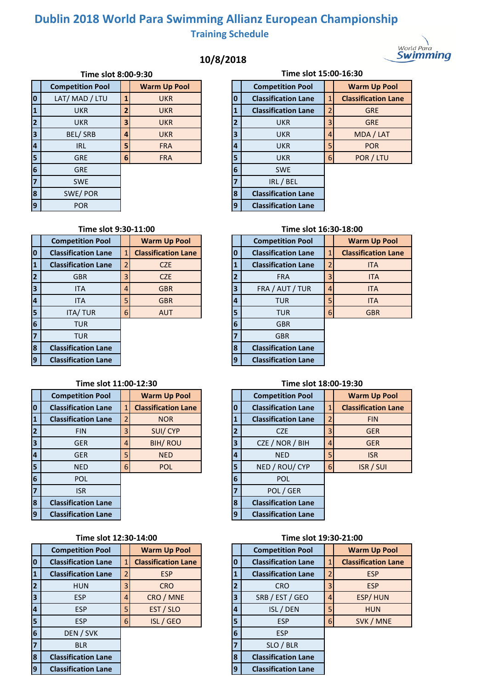# **Dublin 2018 World Para Swimming Allianz European Championship Training Schedule**

## **10/8/2018**

| World Para |
|------------|
| Swimmıng   |

|                         | Time SIOT 8:00-9:30     |          |                     |  |    | <b>THUE SIOL TOM</b>       |                |
|-------------------------|-------------------------|----------|---------------------|--|----|----------------------------|----------------|
|                         | <b>Competition Pool</b> |          | <b>Warm Up Pool</b> |  |    | <b>Competition Pool</b>    |                |
| $\overline{\mathbf{0}}$ | LAT/ MAD / LTU          |          | <b>UKR</b>          |  | O  | <b>Classification Lane</b> | $\mathbf{1}$   |
| $\overline{\mathbf{1}}$ | <b>UKR</b>              |          | <b>UKR</b>          |  |    | <b>Classification Lane</b> | 2              |
| $\overline{2}$          | <b>UKR</b>              | 3        | <b>UKR</b>          |  | 2  | <b>UKR</b>                 | 3              |
| $\overline{\mathbf{3}}$ | BEL/SRB                 | 4        | <b>UKR</b>          |  | 3  | <b>UKR</b>                 | $\overline{4}$ |
| $\overline{4}$          | <b>IRL</b>              | 5        | <b>FRA</b>          |  | 14 | <b>UKR</b>                 | 5              |
| 5                       | <b>GRE</b>              | $6 \mid$ | <b>FRA</b>          |  | 5  | <b>UKR</b>                 | 6              |
| $6\phantom{a}6$         | <b>GRE</b>              |          |                     |  | 6  | <b>SWE</b>                 |                |
| $\overline{7}$          | <b>SWE</b>              |          |                     |  |    | IRL / BEL                  |                |
| 8                       | SWE/POR                 |          |                     |  | 8  | <b>Classification Lane</b> |                |
| $\overline{9}$          | <b>POR</b>              |          |                     |  | 9  | <b>Classification Lane</b> |                |

| Time slot 8:00-9:30 |                |                     | Time slot 15:00-16:30 |                            |                |                            |  |  |  |
|---------------------|----------------|---------------------|-----------------------|----------------------------|----------------|----------------------------|--|--|--|
| tion Pool           |                | <b>Warm Up Pool</b> |                       | <b>Competition Pool</b>    |                | <b>Warm Up Pool</b>        |  |  |  |
| AD / LTU            | 1              | <b>UKR</b>          | 0                     | <b>Classification Lane</b> | 1              | <b>Classification Lane</b> |  |  |  |
| <b>KR</b>           | $\overline{2}$ | <b>UKR</b>          |                       | <b>Classification Lane</b> | $\overline{2}$ | <b>GRE</b>                 |  |  |  |
| KR.                 | 3              | <b>UKR</b>          | 2                     | <b>UKR</b>                 | 3              | <b>GRE</b>                 |  |  |  |
| / SRB               | 4              | <b>UKR</b>          | 3                     | <b>UKR</b>                 | 4              | MDA / LAT                  |  |  |  |
| RL                  | 5              | <b>FRA</b>          | 4                     | <b>UKR</b>                 | 5              | <b>POR</b>                 |  |  |  |
| <b>RE</b>           | 6              | <b>FRA</b>          | 5                     | <b>UKR</b>                 | 6              | POR / LTU                  |  |  |  |
| <b>RE</b>           |                |                     | 6                     | <b>SWE</b>                 |                |                            |  |  |  |
| <b>NE</b>           |                |                     |                       | IRL / BEL                  |                |                            |  |  |  |
| / POR               |                |                     | 8                     | <b>Classification Lane</b> |                |                            |  |  |  |
| OR                  |                |                     | 9                     | <b>Classification Lane</b> |                |                            |  |  |  |

|                         | <b>Competition Pool</b>    |   | <b>Warm Up Pool</b>        |   | <b>Competition Pool</b>    |                |
|-------------------------|----------------------------|---|----------------------------|---|----------------------------|----------------|
| 0                       | <b>Classification Lane</b> |   | <b>Classification Lane</b> |   | <b>Classification Lane</b> | $\mathbf{1}$   |
| $\mathbf{1}$            | <b>Classification Lane</b> |   | CZE                        |   | <b>Classification Lane</b> | $\overline{2}$ |
| $\overline{2}$          | <b>GBR</b>                 | 3 | <b>CZE</b>                 | 2 | <b>FRA</b>                 | 3              |
| $\overline{\mathbf{3}}$ | <b>ITA</b>                 |   | <b>GBR</b>                 | 3 | FRA / AUT / TUR            | $\overline{4}$ |
| $\overline{4}$          | <b>ITA</b>                 | 5 | <b>GBR</b>                 | 4 | <b>TUR</b>                 | 5              |
| 5                       | <b>ITA/TUR</b>             | 6 | <b>AUT</b>                 | 5 | <b>TUR</b>                 | 6              |
| 6                       | <b>TUR</b>                 |   |                            | 6 | <b>GBR</b>                 |                |
| $\overline{7}$          | <b>TUR</b>                 |   |                            |   | <b>GBR</b>                 |                |
| 8                       | <b>Classification Lane</b> |   |                            | 8 | <b>Classification Lane</b> |                |
| $\overline{9}$          | <b>Classification Lane</b> |   |                            | 9 | <b>Classification Lane</b> |                |

### **Time slot 11:00-12:30 Time slot 18:00-19:30**

|                         | <b>Competition Pool</b>    |   | <b>Warm Up Pool</b>        |   | <b>Competition Pool</b>    |                |
|-------------------------|----------------------------|---|----------------------------|---|----------------------------|----------------|
| $\bf{0}$                | <b>Classification Lane</b> |   | <b>Classification Lane</b> |   | <b>Classification Lane</b> | 1              |
| $\mathbf{1}$            | <b>Classification Lane</b> |   | <b>NOR</b>                 |   | <b>Classification Lane</b> | $\overline{2}$ |
| $\overline{2}$          | <b>FIN</b>                 |   | SUI/CYP                    |   | <b>CZE</b>                 | 3              |
| $\overline{\mathbf{3}}$ | <b>GER</b>                 |   | <b>BIH/ROU</b>             | 3 | CZE / NOR / BIH            | $\overline{4}$ |
| $\overline{4}$          | <b>GER</b>                 |   | <b>NED</b>                 | 4 | <b>NED</b>                 | 5              |
| 5                       | <b>NED</b>                 | 6 | <b>POL</b>                 | 5 | NED / ROU/ CYP             | 6              |
| 6                       | <b>POL</b>                 |   |                            | 6 | <b>POL</b>                 |                |
| $\overline{7}$          | <b>ISR</b>                 |   |                            |   | POL / GER                  |                |
| 8                       | <b>Classification Lane</b> |   |                            | 8 | <b>Classification Lane</b> |                |
| $\overline{9}$          | <b>Classification Lane</b> |   |                            | 9 | <b>Classification Lane</b> |                |

|                         | <b>Competition Pool</b>    |   | <b>Warm Up Pool</b>        |   | <b>Competition Pool</b>    |                |
|-------------------------|----------------------------|---|----------------------------|---|----------------------------|----------------|
| lo                      | <b>Classification Lane</b> |   | <b>Classification Lane</b> |   | <b>Classification Lane</b> | $\mathbf{1}$   |
| $\vert$ 1               | <b>Classification Lane</b> |   | <b>ESP</b>                 |   | <b>Classification Lane</b> | $\overline{2}$ |
| 2                       | <b>HUN</b>                 |   | <b>CRO</b>                 |   | <b>CRO</b>                 | 3              |
| $\overline{\mathbf{3}}$ | <b>ESP</b>                 | 4 | CRO / MNE                  | 3 | SRB / EST / GEO            | $\overline{4}$ |
| 4                       | <b>ESP</b>                 |   | EST / SLO                  |   | ISL / DEN                  | 5              |
| 5                       | <b>ESP</b>                 | 6 | ISL / GEO                  | 5 | <b>ESP</b>                 | 6              |
| $6\overline{6}$         | DEN / SVK                  |   |                            | 6 | <b>ESP</b>                 |                |
| 17                      | <b>BLR</b>                 |   |                            |   | SLO / BLR                  |                |
| 8                       | <b>Classification Lane</b> |   |                            | 8 | <b>Classification Lane</b> |                |
| <u>g</u>                | <b>Classification Lane</b> |   |                            | 9 | <b>Classification Lane</b> |                |

### **Time slot 9:30-11:00 Time slot 16:30-18:00**

|                         | <b>Competition Pool</b>    |   | <b>Warm Up Pool</b>        |
|-------------------------|----------------------------|---|----------------------------|
| 0                       | <b>Classification Lane</b> | 1 | <b>Classification Lane</b> |
| $\mathbf{1}$            | <b>Classification Lane</b> | 2 | <b>ITA</b>                 |
| 2                       | <b>FRA</b>                 | 3 | <b>ITA</b>                 |
| $\overline{\mathbf{3}}$ | FRA / AUT / TUR            | 4 | <b>ITA</b>                 |
| 4                       | TUR                        | 5 | <b>ITA</b>                 |
| 5                       | TUR                        | 6 | <b>GBR</b>                 |
| 6                       | <b>GBR</b>                 |   |                            |
| $\overline{7}$          | <b>GBR</b>                 |   |                            |
| 8                       | <b>Classification Lane</b> |   |                            |
| $\overline{9}$          | <b>Classification Lane</b> |   |                            |

|                         | <b>Competition Pool</b>    |   | <b>Warm Up Pool</b>        |
|-------------------------|----------------------------|---|----------------------------|
| $\bf{0}$                | <b>Classification Lane</b> | 1 | <b>Classification Lane</b> |
| $\mathbf{1}$            | <b>Classification Lane</b> | 2 | <b>FIN</b>                 |
| $\overline{2}$          | <b>CZE</b>                 | 3 | <b>GER</b>                 |
| $\overline{\mathbf{3}}$ | CZE / NOR / BIH            | 4 | <b>GER</b>                 |
| $\overline{\mathbf{4}}$ | <b>NED</b>                 | 5 | <b>ISR</b>                 |
| 5                       | NED / ROU/ CYP             | 6 | <b>ISR/SUI</b>             |
| 6                       | <b>POL</b>                 |   |                            |
| $\overline{7}$          | POL / GER                  |   |                            |
| 8                       | <b>Classification Lane</b> |   |                            |
| 9                       | <b>Classification Lane</b> |   |                            |

### **Time slot 12:30-14:00 Time slot 19:30-21:00**

|                         | <b>Competition Pool</b>    |   | <b>Warm Up Pool</b>        |
|-------------------------|----------------------------|---|----------------------------|
| $\bf{0}$                | <b>Classification Lane</b> | 1 | <b>Classification Lane</b> |
| $\mathbf{1}$            | <b>Classification Lane</b> | 2 | <b>ESP</b>                 |
| $\overline{2}$          | <b>CRO</b>                 | 3 | <b>ESP</b>                 |
| $\overline{\mathbf{3}}$ | SRB / EST / GEO            | 4 | ESP/HUN                    |
| 4                       | ISL / DEN                  | 5 | <b>HUN</b>                 |
| 5                       | <b>ESP</b>                 | 6 | SVK / MNE                  |
| 6                       | <b>ESP</b>                 |   |                            |
| $\overline{\mathbf{z}}$ | SLO / BLR                  |   |                            |
| 8                       | <b>Classification Lane</b> |   |                            |
| 9                       | <b>Classification Lane</b> |   |                            |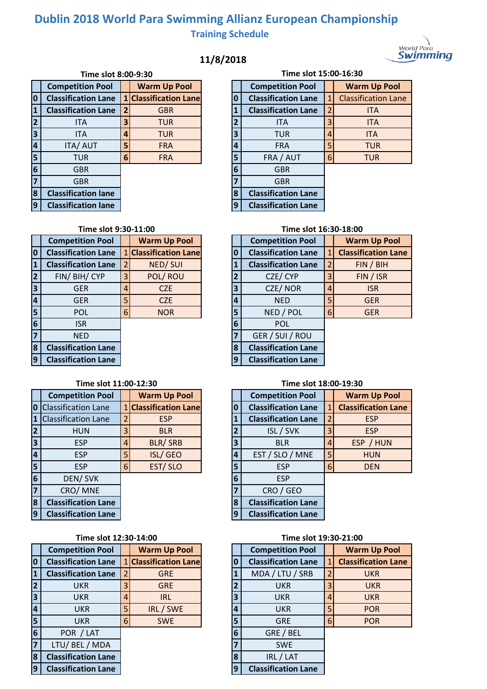# **Dublin 2018 World Para Swimming Allianz European Championship Training Schedule**

## **11/8/2018**



|                         | Time slot 8:00-9:30        |                |                            |  |                | Time slot 15:0             |                |
|-------------------------|----------------------------|----------------|----------------------------|--|----------------|----------------------------|----------------|
|                         | <b>Competition Pool</b>    |                | <b>Warm Up Pool</b>        |  |                | <b>Competition Pool</b>    |                |
| $\overline{\mathbf{0}}$ | <b>Classification Lane</b> | 1              | <b>Classification Lane</b> |  | Ω              | <b>Classification Lane</b> | 1              |
| $\mathbf{1}$            | <b>Classification Lane</b> | $\overline{2}$ | <b>GBR</b>                 |  | 1              | <b>Classification Lane</b> | 2              |
| $\overline{2}$          | <b>ITA</b>                 | 3              | <b>TUR</b>                 |  | $\overline{2}$ | <b>ITA</b>                 | 3              |
| $\overline{\mathbf{3}}$ | <b>ITA</b>                 | 4              | <b>TUR</b>                 |  | 3              | <b>TUR</b>                 | $\overline{A}$ |
| $\overline{4}$          | <b>ITA/AUT</b>             | 5              | <b>FRA</b>                 |  | 4              | <b>FRA</b>                 | 5              |
| 5                       | <b>TUR</b>                 | 6              | <b>FRA</b>                 |  | 5              | FRA / AUT                  | 6              |
| $6\phantom{a}$          | <b>GBR</b>                 |                |                            |  | 6              | <b>GBR</b>                 |                |
| $\overline{7}$          | <b>GBR</b>                 |                |                            |  |                | <b>GBR</b>                 |                |
| 8                       | <b>Classification lane</b> |                |                            |  | 8              | <b>Classification Lane</b> |                |
| 9                       | <b>Classification lane</b> |                |                            |  | q              | <b>Classification Lane</b> |                |

|                | Time slot 15:00-16:30      |   |                            |  |  |  |  |  |  |  |  |
|----------------|----------------------------|---|----------------------------|--|--|--|--|--|--|--|--|
|                | <b>Competition Pool</b>    |   | <b>Warm Up Pool</b>        |  |  |  |  |  |  |  |  |
| 0              | <b>Classification Lane</b> | 1 | <b>Classification Lane</b> |  |  |  |  |  |  |  |  |
| $\mathbf{1}$   | <b>Classification Lane</b> | 2 | <b>ITA</b>                 |  |  |  |  |  |  |  |  |
| $\overline{2}$ | ITA                        | 3 | <b>ITA</b>                 |  |  |  |  |  |  |  |  |
| 3              | TUR                        | 4 | <b>ITA</b>                 |  |  |  |  |  |  |  |  |
| 4              | <b>FRA</b>                 | 5 | <b>TUR</b>                 |  |  |  |  |  |  |  |  |
| 5              | FRA / AUT                  | 6 | <b>TUR</b>                 |  |  |  |  |  |  |  |  |
| 6              | <b>GBR</b>                 |   |                            |  |  |  |  |  |  |  |  |
| 7              | <b>GBR</b>                 |   |                            |  |  |  |  |  |  |  |  |
| 8              | <b>Classification Lane</b> |   |                            |  |  |  |  |  |  |  |  |
| q              | <b>Classification Lane</b> |   |                            |  |  |  |  |  |  |  |  |

|                         | <b>Competition Pool</b>    |   | <b>Warm Up Pool</b>        |   | <b>Competition Pool</b>    |                        |
|-------------------------|----------------------------|---|----------------------------|---|----------------------------|------------------------|
| $\overline{\mathbf{0}}$ | <b>Classification Lane</b> |   | <b>Classification Lane</b> |   | <b>Classification Lane</b> | $\mathbf{1}$           |
| 1                       | <b>Classification Lane</b> |   | <b>NED/SUI</b>             |   | <b>Classification Lane</b> | $\overline{2}$         |
| $\overline{2}$          | FIN/BIH/CYP                | 3 | POL/ROU                    |   | CZE/CYP                    | 3                      |
| $\overline{\mathbf{3}}$ | <b>GER</b>                 | 4 | <b>CZE</b>                 | 3 | CZE/NOR                    | $\boldsymbol{\Lambda}$ |
| $\overline{4}$          | <b>GER</b>                 | 5 | <b>CZE</b>                 | 4 | <b>NED</b>                 | 5                      |
| $\overline{\mathbf{5}}$ | <b>POL</b>                 | 6 | <b>NOR</b>                 | 5 | NED / POL                  | 6                      |
| $6\phantom{1}6$         | <b>ISR</b>                 |   |                            | 6 | <b>POL</b>                 |                        |
| $\overline{7}$          | <b>NED</b>                 |   |                            |   | GER / SUI / ROU            |                        |
| $\overline{\mathbf{8}}$ | <b>Classification Lane</b> |   |                            | 8 | <b>Classification Lane</b> |                        |
| $\overline{9}$          | <b>Classification Lane</b> |   |                            |   | <b>Classification Lane</b> |                        |

### **Time slot 11:00-12:30**

|                         | <b>Competition Pool</b>      |   | <b>Warm Up Pool</b>        |   | <b>Competition Pool</b>    |                |
|-------------------------|------------------------------|---|----------------------------|---|----------------------------|----------------|
|                         | <b>0</b> Classification Lane |   | <b>Classification Lane</b> |   | <b>Classification Lane</b> | $\mathbf{1}$   |
| $\mathbf{1}$            | <b>Classification Lane</b>   |   | <b>ESP</b>                 |   | <b>Classification Lane</b> | $\overline{2}$ |
| $\overline{2}$          | <b>HUN</b>                   | 3 | <b>BLR</b>                 |   | ISL / SVK                  | 3              |
| $\overline{3}$          | <b>ESP</b>                   | 4 | BLR/SRB                    | 3 | <b>BLR</b>                 | $\overline{4}$ |
| $\overline{4}$          | <b>ESP</b>                   | 5 | ISL/GEO                    | 4 | EST / SLO / MNE            | 5              |
| $\overline{\mathbf{5}}$ | <b>ESP</b>                   | 6 | EST/SLO                    | 5 | <b>FSP</b>                 | 6              |
| $6\phantom{1}6$         | DEN/SVK                      |   |                            | 6 | <b>ESP</b>                 |                |
| $\overline{7}$          | CRO/MNE                      |   |                            |   | CRO / GEO                  |                |
| 8                       | <b>Classification Lane</b>   |   |                            | 8 | <b>Classification Lane</b> |                |
| 9                       | <b>Classification Lane</b>   |   |                            | q | <b>Classification Lane</b> |                |

### **Time slot 12:30-14:00 Time slot 19:30-21:00**

|                | <b>Competition Pool</b>    |   | <b>Warm Up Pool</b>        |   | <b>Competition Pool</b>    |                |
|----------------|----------------------------|---|----------------------------|---|----------------------------|----------------|
| $\bf{0}$       | <b>Classification Lane</b> |   | <b>Classification Lane</b> |   | <b>Classification Lane</b> | $\mathbf{1}$   |
| $\mathbf{1}$   | <b>Classification Lane</b> |   | <b>GRE</b>                 |   | MDA / LTU / SRB            | $\overline{2}$ |
| $\overline{2}$ | <b>UKR</b>                 | 3 | <b>GRE</b>                 |   | <b>UKR</b>                 | 3              |
| 3              | <b>UKR</b>                 | 4 | <b>IRL</b>                 | 3 | <b>UKR</b>                 | $\overline{4}$ |
| $\overline{4}$ | <b>UKR</b>                 | 5 | IRL / SWE                  |   | <b>UKR</b>                 | 5              |
| 5              | <b>UKR</b>                 | 6 | <b>SWE</b>                 | 5 | <b>GRE</b>                 | 6              |
| 6              | POR / LAT                  |   |                            | 6 | GRE / BEL                  |                |
| 7              | LTU/ BEL / MDA             |   |                            |   | <b>SWE</b>                 |                |
| 8              | <b>Classification Lane</b> |   |                            | 8 | IRL / LAT                  |                |
| 9              | <b>Classification Lane</b> |   |                            | 9 | <b>Classification Lane</b> |                |

### **Time slot 9:30-11:00 Time slot 16:30-18:00**

|                         | <b>Competition Pool</b>    |                | <b>Warm Up Pool</b>        |
|-------------------------|----------------------------|----------------|----------------------------|
| $\bf{0}$                | <b>Classification Lane</b> | 1              | <b>Classification Lane</b> |
| $\mathbf{1}$            | <b>Classification Lane</b> | $\overline{2}$ | FIN / BH                   |
| $\overline{2}$          | CZE/CYP                    | 3              | FIN / ISR                  |
| $\overline{\mathbf{3}}$ | CZE/NOR                    | 4              | <b>ISR</b>                 |
| 4                       | <b>NED</b>                 | 5              | <b>GER</b>                 |
| 5                       | NED / POL                  | 6              | <b>GER</b>                 |
| 6                       | <b>POL</b>                 |                |                            |
| $\overline{7}$          | GER / SUI / ROU            |                |                            |
| 8                       | <b>Classification Lane</b> |                |                            |
| $\overline{9}$          | <b>Classification Lane</b> |                |                            |

### **Time slot 18:00-19:30**

|                | <b>Competition Pool</b>    |              | <b>Warm Up Pool</b>        |
|----------------|----------------------------|--------------|----------------------------|
| $\bf{0}$       | <b>Classification Lane</b> | $\mathbf{1}$ | <b>Classification Lane</b> |
| $\mathbf{1}$   | <b>Classification Lane</b> | 2            | <b>ESP</b>                 |
| $\overline{2}$ | ISL / SVK                  | 3            | <b>ESP</b>                 |
| 3              | <b>BLR</b>                 | 4            | ESP / HUN                  |
| 4              | EST / SLO / MNE            | 5            | <b>HUN</b>                 |
| 5              | <b>ESP</b>                 | 6            | <b>DEN</b>                 |
| 6              | <b>FSP</b>                 |              |                            |
| $\overline{7}$ | CRO / GEO                  |              |                            |
| 8              | <b>Classification Lane</b> |              |                            |
| 9              | <b>Classification Lane</b> |              |                            |

|                         | <b>Competition Pool</b>    |   | <b>Warm Up Pool</b>        |  |  |  |  |
|-------------------------|----------------------------|---|----------------------------|--|--|--|--|
| $\bf{0}$                | <b>Classification Lane</b> | 1 | <b>Classification Lane</b> |  |  |  |  |
| $\mathbf{1}$            | MDA / LTU / SRB            | 2 | <b>UKR</b>                 |  |  |  |  |
| $\overline{2}$          | UKR                        | 3 | <b>UKR</b>                 |  |  |  |  |
| $\overline{\mathbf{3}}$ | UKR                        | 4 | <b>UKR</b>                 |  |  |  |  |
| $\overline{4}$          | UKR                        | 5 | <b>POR</b>                 |  |  |  |  |
| 5                       | <b>GRE</b>                 | 6 | <b>POR</b>                 |  |  |  |  |
| 6                       | GRE / BEL                  |   |                            |  |  |  |  |
| $\overline{7}$          | <b>SWE</b>                 |   |                            |  |  |  |  |
| 8                       | IRL / LAT                  |   |                            |  |  |  |  |
| $\overline{9}$          | <b>Classification Lane</b> |   |                            |  |  |  |  |